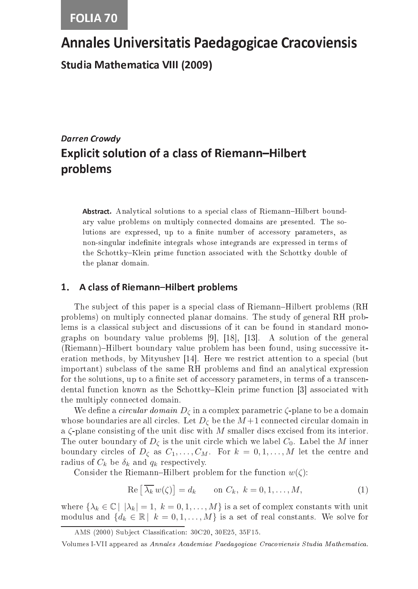# Annales Universitatis Paedagogicae Cracoviensis

**Studia Mathematica VIII (2009)** Studia Mathemati
a VIII (2009)

## Darren Crowdy Explicit solution of a class of Riemann-Hilbert problems

Abstract, Analytical solutions to a special class of Riemann–Hilbert boundary value problems on multiply onne
ted domains are presented. The solutions are expressed, up to a finite number of accessory parameters, as non-singular indefinite integrals whose integrands are expressed in terms of the Schottky–Klein prime function associated with the Schottky double of the planar domain.

#### 1. A class of Riemann-Hilbert problems

The subject of this paper is a special class of Riemann–Hilbert problems (RH problems) on multiply onne
ted planar domains. The study of general RH problems is a classical subject and discussions of it can be found in standard monographs on boundary value problems  $[9]$ ,  $[18]$ ,  $[13]$ . A solution of the general (Riemann)–Hilbert boundary value problem has been found, using successive iteration methods, by Mityushev  $[14]$ . Here we restrict attention to a special (but important) subclass of the same RH problems and find an analytical expression for the solutions, up to a finite set of accessory parameters, in terms of a transcendental function known as the Schottky–Klein prime function [3] associated with the multiply onne
ted domain.

We define a *circular domain*  $D_{\zeta}$  in a complex parametric  $\zeta$ -plane to be a domain whose boundaries are all circles. Let  $D_{\zeta}$  be the  $M+1$  connected circular domain in a  $\zeta$ -plane consisting of the unit disc with M smaller discs excised from its interior. The outer boundary of  $D_{\zeta}$  is the unit circle which we label  $C_0$ . Label the M inner boundary circles of  $D_{\zeta}$  as  $C_1, \ldots, C_M$ . For  $k = 0, 1, \ldots, M$  let the centre and radius of  $C_k$  be  $\delta_k$  and  $q_k$  respectively.

Consider the Riemann–Hilbert problem for the function  $w(\zeta)$ :

$$
\operatorname{Re}\left[\overline{\lambda_k} w(\zeta)\right] = d_k \qquad \text{on } C_k, \ k = 0, 1, \dots, M,
$$
\n(1)

where  $\{\lambda_k \in \mathbb{C} \mid |\lambda_k| = 1, k = 0, 1, \ldots, M\}$  is a set of complex constants with unit modulus and  $\{d_k \in \mathbb{R} \mid k = 0, 1, ..., M\}$  is a set of real constants. We solve for

AMS (2000) Subject Classification: 30C20, 30E25, 35F15.

Volumes I-VII appeared as Annales Academiae Paedagogicae Cracoviensis Studia Mathematica.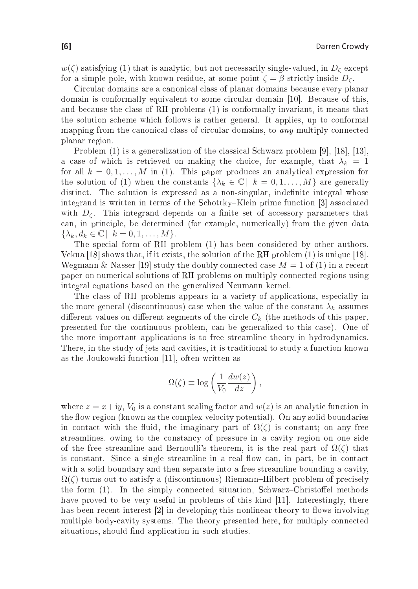$w(\zeta)$  satisfying (1) that is analytic, but not necessarily single-valued, in  $D_{\zeta}$  except for a simple pole, with known residue, at some point  $\zeta = \beta$  strictly inside  $D_{\zeta}$ .

Circular domains are a canonical class of planar domains because every planar domain is conformally equivalent to some circular domain [10]. Because of this, and be
ause the lass of RH problems (1) is onformally invariant, it means that the solution s
heme whi
h follows is rather general. It applies, up to onformal mapping from the canonical class of circular domains, to *any* multiply connected planar region.

Problem  $(1)$  is a generalization of the classical Schwarz problem [9], [18], [13], a case of which is retrieved on making the choice, for example, that  $\lambda_k = 1$ for all  $k = 0, 1, ..., M$  in (1). This paper produces an analytical expression for the solution of (1) when the constants  $\{\lambda_k \in \mathbb{C} \mid k = 0, 1, ..., M\}$  are generally distinct. The solution is expressed as a non-singular, indefinite integral whose integrand is written in terms of the Schottky–Klein prime function [3] associated with  $D_{\zeta}$ . This integrand depends on a finite set of accessory parameters that can, in principle, be determined (for example, numerically) from the given data  $\{\lambda_k, d_k \in \mathbb{C} \mid k = 0, 1, \ldots, M\}.$ 

The special form of RH problem (1) has been considered by other authors. Vekua  $[18]$  shows that, if it exists, the solution of the RH problem  $(1)$  is unique  $[18]$ . Wegmann & Nasser [19] study the doubly connected case  $M = 1$  of (1) in a recent paper on numeri
al solutions of RH problems on multiply onne
ted regions using integral equations based on the generalized Neumann kernel.

The class of RH problems appears in a variety of applications, especially in the more general (discontinuous) case when the value of the constant  $\lambda_k$  assumes different values on different segments of the circle  $C_k$  (the methods of this paper, presented for the ontinuous problem, an be generalized to this ase). One of the more important applications is to free streamline theory in hydrodynamics. There, in the study of jets and cavities, it is traditional to study a function known as the Joukowski function  $[11]$ , often written as

$$
\Omega(\zeta) \equiv \log\left(\frac{1}{V_0}\frac{dw(z)}{dz}\right),
$$

where  $z = x + iy$ ,  $V_0$  is a constant scaling factor and  $w(z)$  is an analytic function in the flow region (known as the complex velocity potential). On any solid boundaries in contact with the fluid, the imaginary part of  $\Omega(\zeta)$  is constant; on any free streamlines, owing to the constancy of pressure in a cavity region on one side of the free streamline and Bernoulli's theorem, it is the real part of  $\Omega(\zeta)$  that is constant. Since a single streamline in a real flow can, in part, be in contact with a solid boundary and then separate into a free streamline bounding a cavity,  $\Omega(\zeta)$  turns out to satisfy a (discontinuous) Riemann–Hilbert problem of precisely the form  $(1)$ . In the simply connected situation, Schwarz-Christoffel methods have proved to be very useful in problems of this kind  $[11]$ . Interestingly, there has been recent interest [2] in developing this nonlinear theory to flows involving multiple body-cavity systems. The theory presented here, for multiply connected situations, should find application in such studies.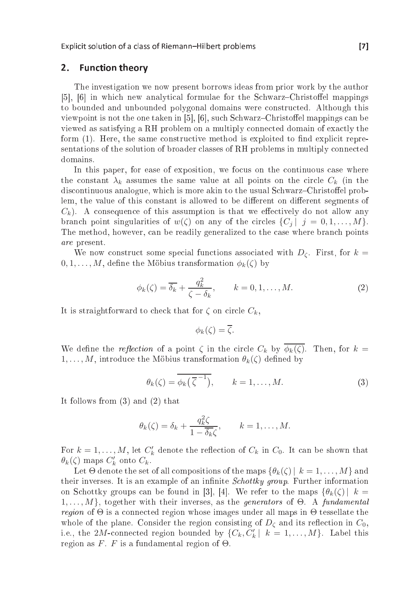### 2. Fun
tion theory

The investigation we now present borrows in the authority in the authority in the authority in the authority in the authority in the authority in the authority in the authority in the authority in the authority in the aut [5], [6] in which new analytical formulae for the Schwarz-Christoffel mappings to bounded and unbounded polygonal domains were onstru
ted. Although this viewpoint is not the one taken in  $[5]$ ,  $[6]$ , such Schwarz-Christoffel mappings can be viewed as satisfying a RH problem on a multiply onne
ted domain of exa
tly the form  $(1)$ . Here, the same constructive method is exploited to find explicit representations of the solution of broader classes of RH problems in multiply connected domains.

In this paper, for ease of exposition, we focus on the continuous case where the constant  $\lambda_k$  assumes the same value at all points on the circle  $C_k$  (in the discontinuous analogue, which is more akin to the usual Schwarz-Christoffel problem, the value of this constant is allowed to be different on different segments of  $C_k$ ). A consequence of this assumption is that we effectively do not allow any branch point singularities of  $w(\zeta)$  on any of the circles  $\{C_i | j = 0, 1, ..., M\}$ . The method, however, an be readily generalized to the ase where bran
h points are present.

We now construct some special functions associated with  $D_{\zeta}$ . First, for  $k =$  $0, 1, \ldots, M$ , define the Möbius transformation  $\phi_k(\zeta)$  by

$$
\phi_k(\zeta) = \overline{\delta_k} + \frac{q_k^2}{\zeta - \delta_k}, \qquad k = 0, 1, \dots, M.
$$
 (2)

It is straightforward to check that for  $\zeta$  on circle  $C_k$ ,

$$
\phi_k(\zeta)=\overline{\zeta}.
$$

We define the *reflection* of a point  $\zeta$  in the circle  $C_k$  by  $\phi_k(\zeta)$ . Then, for  $k =$  $1, \ldots, M$ , introduce the Möbius transformation  $\theta_k(\zeta)$  defined by

$$
\theta_k(\zeta) = \overline{\phi_k\left(\overline{\zeta}^{-1}\right)}, \qquad k = 1, \dots, M. \tag{3}
$$

It follows from (3) and (2) that

$$
\theta_k(\zeta) = \delta_k + \frac{q_k^2 \zeta}{1 - \overline{\delta_k} \zeta}, \qquad k = 1, \dots, M.
$$

For  $k = 1, \ldots, M$ , let  $C'_{k}$  denote the reflection of  $C_{k}$  in  $C_{0}$ . It can be shown that  $\theta_k(\zeta)$  maps  $C'_k$  onto  $C_k$ .

Let  $\Theta$  denote the set of all compositions of the maps  $\{\theta_k(\zeta) \mid k = 1, \ldots, M\}$  and their inverses. It is an example of an infinite *Schottky group*. Further information on Schottky groups can be found in [3], [4]. We refer to the maps  $\{\theta_k(\zeta) | k =$  $1, \ldots, M$ , together with their inverses, as the *generators* of  $\Theta$ . A *fundamental region* of  $\Theta$  is a connected region whose images under all maps in  $\Theta$  tessellate the whole of the plane. Consider the region consisting of  $D<sub>c</sub>$  and its reflection in  $C<sub>0</sub>$ , i.e., the 2M-connected region bounded by  $\{C_k, C'_k \mid k = 1, ..., M\}$ . Label this region as F. F is a fundamental region of  $\Theta$ .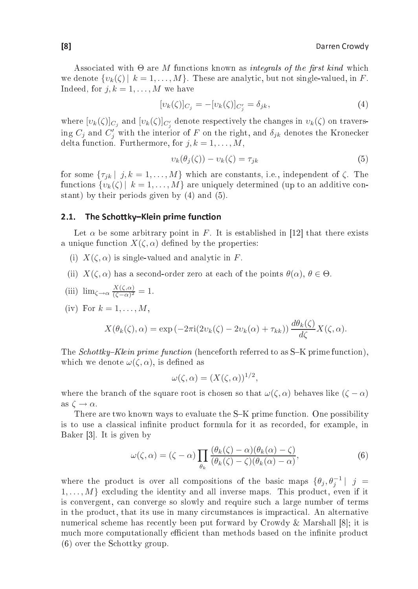Associated with  $\Theta$  are M functions known as *integrals of the first kind* which we denote  $\{v_k(\zeta) \mid k = 1, \ldots, M\}$ . These are analytic, but not single-valued, in F. Indeed, for  $j, k = 1, \ldots, M$  we have

$$
[v_k(\zeta)]_{C_j} = -[v_k(\zeta)]_{C'_j} = \delta_{jk},\tag{4}
$$

where  $[v_k(\zeta)]_{C_j}$  and  $[v_k(\zeta)]_{C_j'}$  denote respectively the changes in  $v_k(\zeta)$  on traversing  $C_j$  and  $C'_j$  with the interior of  $F$  on the right, and  $\delta_{jk}$  denotes the Kronecker delta function. Furthermore, for  $j, k = 1, \ldots, M$ ,

$$
v_k(\theta_j(\zeta)) - v_k(\zeta) = \tau_{jk} \tag{5}
$$

for some  $\{\tau_{jk} | j, k = 1, \ldots, M\}$  which are constants, i.e., independent of  $\zeta$ . The functions  $\{v_k(\zeta) \mid k = 1, \ldots, M\}$  are uniquely determined (up to an additive constant) by their periods given by (4) and (5).

#### The Schottky-Klein prime function  $2.1.$

Let  $\alpha$  be some arbitrary point in F. It is established in [12] that there exists a unique function  $X(\zeta,\alpha)$  defined by the properties:

- (i)  $X(\zeta, \alpha)$  is single-valued and analytic in F.
- (ii)  $X(\zeta, \alpha)$  has a second-order zero at each of the points  $\theta(\alpha)$ ,  $\theta \in \Theta$ .

(iii) 
$$
\lim_{\zeta \to \alpha} \frac{X(\zeta, \alpha)}{(\zeta - \alpha)^2} = 1.
$$

(iv) For  $k = 1, \ldots, M$ ,

$$
X(\theta_k(\zeta), \alpha) = \exp(-2\pi i(2v_k(\zeta) - 2v_k(\alpha) + \tau_{kk})) \frac{d\theta_k(\zeta)}{d\zeta} X(\zeta, \alpha).
$$

The Schottky–Klein prime function (henceforth referred to as S–K prime function), which we denote  $\omega(\zeta, \alpha)$ , is defined as

$$
\omega(\zeta,\alpha) = (X(\zeta,\alpha))^{1/2},
$$

where the branch of the square root is chosen so that  $\omega(\zeta, \alpha)$  behaves like  $(\zeta - \alpha)$ as  $\zeta \to \alpha$ .

There are two known ways to evaluate the S-K prime function. One possibility is to use a classical infinite product formula for it as recorded, for example, in Baker [3]. It is given by

$$
\omega(\zeta,\alpha) = (\zeta - \alpha) \prod_{\theta_k} \frac{(\theta_k(\zeta) - \alpha)(\theta_k(\alpha) - \zeta)}{(\theta_k(\zeta) - \zeta)(\theta_k(\alpha) - \alpha)},\tag{6}
$$

where the product is over all compositions of the basic maps  $\{\theta_j, \theta_j^{-1} | j =$  $1, \ldots, M$  excluding the identity and all inverse maps. This product, even if it is onvergent, an onverge so slowly and require su
h a large number of terms in the product, that its use in many circumstances is impractical. An alternative numerical scheme has recently been put forward by Crowdy & Marshall  $[8]$ ; it is much more computationally efficient than methods based on the infinite product (6) over the S
hottky group.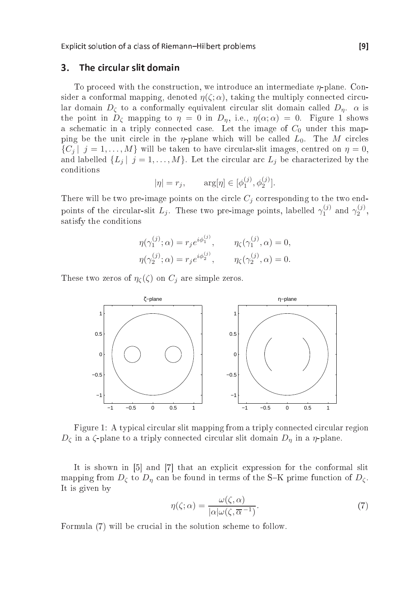#### $\overline{\mathbf{3}}$ . The circular slit domain

To proceed with the construction, we introduce an intermediate  $\eta$ -plane. Consider a conformal mapping, denoted  $\eta(\zeta;\alpha)$ , taking the multiply connected circular domain  $D_{\zeta}$  to a conformally equivalent circular slit domain called  $D_{\eta}$ .  $\alpha$  is the point in  $D_{\zeta}$  mapping to  $\eta = 0$  in  $D_{\eta}$ , i.e.,  $\eta(\alpha; \alpha) = 0$ . Figure 1 shows a schematic in a triply connected case. Let the image of  $C_0$  under this mapping be the unit circle in the  $\eta$ -plane which will be called  $L_0$ . The M circles  $\{C_j | j = 1, ..., M\}$  will be taken to have circular-slit images, centred on  $\eta = 0$ , and labelled  $\{L_j | j = 1, ..., M\}$ . Let the circular arc  $L_j$  be characterized by the onditions

$$
|\eta| = r_j
$$
,  $\arg[\eta] \in [\phi_1^{(j)}, \phi_2^{(j)}].$ 

There will be two pre-image points on the circle  $C_i$  corresponding to the two endpoints of the circular-slit  $L_j$ . These two pre-image points, labelled  $\gamma_1^{(j)}$  and  $\gamma_2^{(j)}$ , satisfy the conditions satisfy the conditions of the conditions of the conditions of the conditions of the conditions of the conditions of the conditions of the conditions of the conditions of the conditions of the conditions of the conditions o

$$
\eta(\gamma_1^{(j)};\alpha) = r_j e^{i\phi_1^{(j)}}, \qquad \eta_\zeta(\gamma_1^{(j)},\alpha) = 0,
$$
  

$$
\eta(\gamma_2^{(j)};\alpha) = r_j e^{i\phi_2^{(j)}}, \qquad \eta_\zeta(\gamma_2^{(j)},\alpha) = 0.
$$

These two zeros of  $\eta_{\zeta}(\zeta)$  on  $C_i$  are simple zeros.



Figure 1: A typical circular slit mapping from a triply connected circular region  $D_{\zeta}$  in a  $\zeta$ -plane to a triply connected circular slit domain  $D_n$  in a  $\eta$ -plane.

It is shown in  $[5]$  and  $[7]$  that an explicit expression for the conformal slit mapping from  $D_{\zeta}$  to  $D_{\eta}$  can be found in terms of the S-K prime function of  $D_{\zeta}$ . It is given by

$$
\eta(\zeta;\alpha) = \frac{\omega(\zeta,\alpha)}{|\alpha|\omega(\zeta,\overline{\alpha}^{-1})}.
$$
\n(7)

Formula (7) will be crucial in the solution scheme to follow.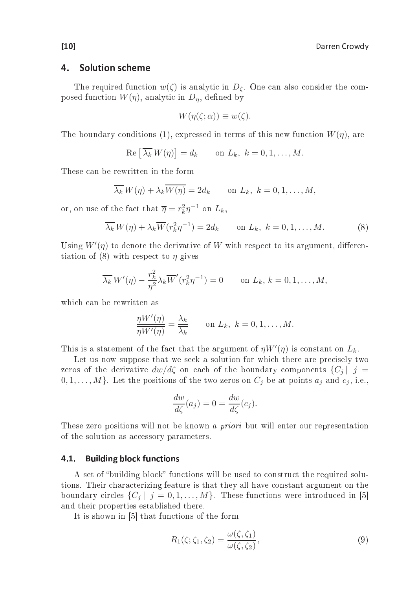#### $\mathbf{A}$ Solution scheme

The required function  $w(\zeta)$  is analytic in  $D_{\zeta}$ . One can also consider the composed function  $W(\eta)$ , analytic in  $D_n$ , defined by

$$
W(\eta(\zeta;\alpha)) \equiv w(\zeta).
$$

The boundary conditions (1), expressed in terms of this new function  $W(\eta)$ , are

$$
\operatorname{Re}\left[\overline{\lambda_k} W(\eta)\right] = d_k \qquad \text{on } L_k, \ k = 0, 1, \dots, M.
$$

These can be rewritten in the form

$$
\overline{\lambda_k} W(\eta) + \lambda_k \overline{W(\eta)} = 2d_k \quad \text{on } L_k, \ k = 0, 1, \dots, M,
$$

or, on use of the fact that  $\overline{\eta} = r_k^2 \eta^{-1}$  on  $L_k$ ,

$$
\overline{\lambda_k} W(\eta) + \lambda_k \overline{W}(r_k^2 \eta^{-1}) = 2d_k \qquad \text{on } L_k, \ k = 0, 1, \dots, M. \tag{8}
$$

Using  $W'(\eta)$  to denote the derivative of W with respect to its argument, differentiation of (8) with respect to  $\eta$  gives

$$
\overline{\lambda_k} W'(\eta) - \frac{r_k^2}{\eta^2} \lambda_k \overline{W}'(r_k^2 \eta^{-1}) = 0 \quad \text{on } L_k, k = 0, 1, \dots, M,
$$

which can be rewritten as

$$
\frac{\eta W'(\eta)}{\eta W'(\eta)} = \frac{\lambda_k}{\lambda_k} \qquad \text{on } L_k, \ k = 0, 1, \dots, M.
$$

This is a statement of the fact that the argument of  $\eta W'(\eta)$  is constant on  $L_k$ .

Let us now suppose that we seek a solution for which there are precisely two zeros of the derivative  $dw/d\zeta$  on each of the boundary components  $\{C_j | j =$  $0, 1, \ldots, M$ . Let the positions of the two zeros on  $C_j$  be at points  $a_j$  and  $c_j$ , i.e.,

$$
\frac{dw}{d\zeta}(a_j) = 0 = \frac{dw}{d\zeta}(c_j).
$$

These zero positions will not be known a *priori* but will enter our representation of the solution as accessory parameters.

### 4.1. Building block functions

A set of "building block" functions will be used to construct the required solutions. Their hara
terizing feature is that they all have onstant argument on the boundary circles  $\{C_i | j = 0, 1, ..., M\}$ . These functions were introduced in [5] and their properties established there.

It is shown in  $[5]$  that functions of the form

$$
R_1(\zeta; \zeta_1, \zeta_2) = \frac{\omega(\zeta, \zeta_1)}{\omega(\zeta, \zeta_2)},\tag{9}
$$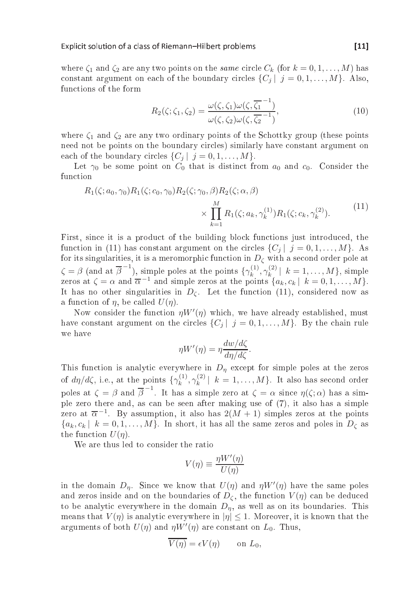where  $\zeta_1$  and  $\zeta_2$  are any two points on the *same* circle  $C_k$  (for  $k = 0, 1, ..., M$ ) has constant argument on each of the boundary circles  $\{C_i | j = 0, 1, ..., M\}$ . Also, fun
tions of the form

$$
R_2(\zeta; \zeta_1, \zeta_2) = \frac{\omega(\zeta, \zeta_1)\omega(\zeta, \overline{\zeta_1}^{-1})}{\omega(\zeta, \zeta_2)\omega(\zeta, \overline{\zeta_2}^{-1})},
$$
\n(10)

where  $\zeta_1$  and  $\zeta_2$  are any two ordinary points of the Schottky group (these points need not be points on the boundary circles) similarly have constant argument on each of the boundary circles  $\{C_i | j = 0, 1, ..., M\}$ .

Let  $\gamma_0$  be some point on  $C_0$  that is distinct from  $a_0$  and  $c_0$ . Consider the function

$$
R_1(\zeta; a_0, \gamma_0) R_1(\zeta; c_0, \gamma_0) R_2(\zeta; \gamma_0, \beta) R_2(\zeta; \alpha, \beta) \times \prod_{k=1}^{M} R_1(\zeta; a_k, \gamma_k^{(1)}) R_1(\zeta; c_k, \gamma_k^{(2)}).
$$
\n(11)

First, since it is a product of the building block functions just introduced, the function in (11) has constant argument on the circles  $\{C_j | j = 0, 1, ..., M\}$ . As for its singularities, it is a meromorphic function in  $D_{\zeta}$  with a second order pole at  $\zeta = \beta$  (and at  $\overline{\beta}^{-1}$ ), simple poles at the points  $\{\gamma_k^{(1)}\}$  $\gamma_k^{(1)},\gamma_k^{(2)}$  $|k_{k}|^{(2)}$  |  $k = 1, ..., M$ , simple zeros at  $\zeta = \alpha$  and  $\overline{\alpha}^{-1}$  and simple zeros at the points  $\{a_k, c_k | k = 0, 1, ..., M\}$ . It has no other singularities in  $D_{\zeta}$ . Let the function (11), considered now as a function of  $\eta$ , be called  $U(\eta)$ .

Now consider the function  $\eta W'(\eta)$  which, we have already established, must have constant argument on the circles  $\{C_i | j = 0, 1, ..., M\}$ . By the chain rule we have

$$
\eta W'(\eta) = \eta \frac{dw/d\zeta}{d\eta/d\zeta}.
$$

This function is analytic everywhere in  $D_{\eta}$  except for simple poles at the zeros of  $d\eta/d\zeta$ , i.e., at the points  $\{\gamma_k^{(1)}\}$  $\gamma_k^{(1)},\gamma_k^{(2)}$  $\left\{ \begin{array}{l} (2) \ k = 1, \ldots, M \}$ . It also has second order poles at  $\zeta = \beta$  and  $\overline{\beta}^{-1}$ . It has a simple zero at  $\zeta = \alpha$  since  $\eta(\zeta; \alpha)$  has a simple zero there and, as can be seen after making use of (7), it also has a simple zero at  $\overline{\alpha}^{-1}$ . By assumption, it also has  $2(M + 1)$  simples zeros at the points  ${a_k, c_k | k = 0, 1, \ldots, M}$ . In short, it has all the same zeros and poles in  $D_{\zeta}$  as the function  $U(\eta)$ .

We are thus led to consider the ratio

$$
V(\eta) \equiv \frac{\eta W'(\eta)}{U(\eta)}
$$

in the domain  $D_{\eta}$ . Since we know that  $U(\eta)$  and  $\eta W'(\eta)$  have the same poles and zeros inside and on the boundaries of  $D_{\zeta}$ , the function  $V(\eta)$  can be deduced to be analytic everywhere in the domain  $D_n$ , as well as on its boundaries. This means that  $V(\eta)$  is analytic everywhere in  $|\eta| \leq 1$ . Moreover, it is known that the arguments of both  $U(\eta)$  and  $\eta W'(\eta)$  are constant on  $L_0$ . Thus,

$$
V(\eta) = \epsilon V(\eta) \qquad \text{on } L_0,
$$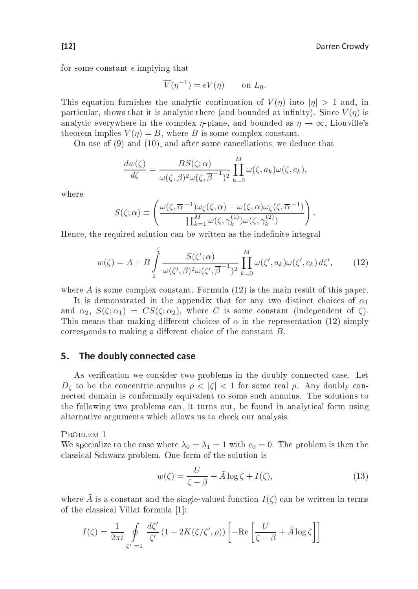for some constant  $\epsilon$  implying that

$$
\overline{V}(\eta^{-1}) = \epsilon V(\eta) \qquad \text{on } L_0.
$$

This equation furnishes the analytic continuation of  $V(\eta)$  into  $|\eta| > 1$  and, in particular, shows that it is analytic there (and bounded at infinity). Since  $V(n)$  is analytic everywhere in the complex *n*-plane, and bounded as  $n \to \infty$ . Liouville's theorem implies  $V(n) = B$ , where B is some complex constant.

On use of  $(9)$  and  $(10)$ , and after some cancellations, we deduce that  $\mathcal{N}$  and (10), and after some deductions, we deduce that  $\mathcal{N}$ 

$$
\frac{dw(\zeta)}{d\zeta} = \frac{BS(\zeta;\alpha)}{\omega(\zeta,\beta)^2 \omega(\zeta,\overline{\beta}^{-1})^2} \prod_{k=0}^{M} \omega(\zeta,a_k) \omega(\zeta,c_k),
$$

where

$$
S(\zeta;\alpha) \equiv \left( \frac{\omega(\zeta,\overline{\alpha}^{-1})\omega_{\zeta}(\zeta,\alpha) - \omega(\zeta,\alpha)\omega_{\zeta}(\zeta,\overline{\alpha}^{-1})}{\prod_{k=1}^{M} \omega(\zeta,\gamma_k^{(1)})\omega(\zeta,\gamma_k^{(2)})} \right).
$$

Hence, the required solution can be written as the indefinite integral

$$
w(\zeta) = A + B \int_{1}^{\zeta} \frac{S(\zeta'; \alpha)}{\omega(\zeta', \beta)^2 \omega(\zeta', \overline{\beta}^{-1})^2} \prod_{k=0}^{M} \omega(\zeta', a_k) \omega(\zeta', c_k) d\zeta', \qquad (12)
$$

where  $A$  is some complex constant. Formula  $(12)$  is the main result of this paper.

It is demonstrated in the appendix that for any two distinct choices of  $\alpha_1$ and  $\alpha_2$ ,  $S(\zeta; \alpha_1) = CS(\zeta; \alpha_2)$ , where C is some constant (independent of  $\zeta$ ). This means that making different choices of  $\alpha$  in the representation (12) simply corresponds to making a different choice of the constant  $B$ .

#### The doubly connected case 5.

As verification we consider two problems in the doubly connected case. Let  $D_{\zeta}$  to be the concentric annulus  $\rho < |\zeta| < 1$  for some real  $\rho$ . Any doubly conne
ted domain is onformally equivalent to some su
h annulus. The solutions to the following two problems an, it turns out, be found in analyti
al form using alternative arguments whi
h allows us to he
k our analysis.

PROBLEM<sub>1</sub>

We specialize to the case where  $\lambda_0 = \lambda_1 = 1$  with  $c_0 = 0$ . The problem is then the lassi
al S
hwarz problem. One form of the solution is

$$
w(\zeta) = \frac{U}{\zeta - \beta} + \tilde{A} \log \zeta + I(\zeta),\tag{13}
$$

where  $\tilde{A}$  is a constant and the single-valued function  $I(\zeta)$  can be written in terms of the classical Villat formula [1]:

$$
I(\zeta) = \frac{1}{2\pi i} \oint\limits_{|\zeta'|=1} \frac{d\zeta'}{\zeta'} (1 - 2K(\zeta/\zeta', \rho)) \left[ -\mathrm{Re} \left[ \frac{U}{\zeta - \beta} + \tilde{A} \log \zeta \right] \right]
$$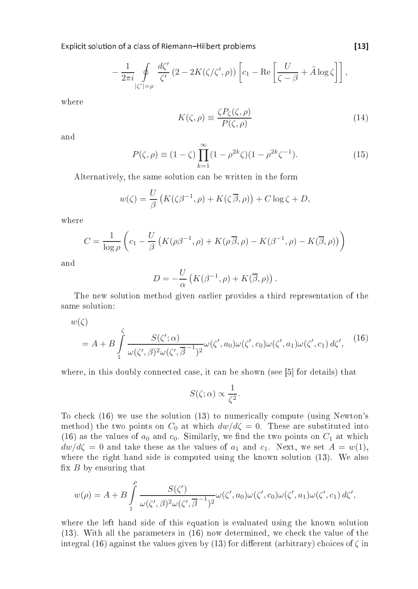Explicit solution of a class of Riemann-Hilbert problems [13]

$$
-\frac{1}{2\pi i}\oint\limits_{|\zeta'|=\rho}\frac{d\zeta'}{\zeta'}\left(2-2K(\zeta/\zeta',\rho)\right)\left[c_1-\text{Re}\left[\frac{U}{\zeta-\beta}+\tilde{A}\log\zeta\right]\right],
$$

where

$$
K(\zeta,\rho) \equiv \frac{\zeta P_{\zeta}(\zeta,\rho)}{P(\zeta,\rho)}
$$
\n(14)

and

$$
P(\zeta, \rho) \equiv (1 - \zeta) \prod_{k=1}^{\infty} (1 - \rho^{2k} \zeta)(1 - \rho^{2k} \zeta^{-1}).
$$
 (15)

Alternatively, the same solution an be written in the form

$$
w(\zeta) = \frac{U}{\beta} \left( K(\zeta \beta^{-1}, \rho) + K(\zeta \overline{\beta}, \rho) \right) + C \log \zeta + D,
$$

where

$$
C = \frac{1}{\log \rho} \left( c_1 - \frac{U}{\beta} \left( K(\rho \beta^{-1}, \rho) + K(\rho \overline{\beta}, \rho) - K(\beta^{-1}, \rho) - K(\overline{\beta}, \rho) \right) \right)
$$

and

$$
D = -\frac{U}{\alpha} \left( K(\beta^{-1}, \rho) + K(\overline{\beta}, \rho) \right).
$$

The new solution method given earlier provides a third representation of the same solution:

 $w(\zeta)$ 

$$
= A + B \int_{1}^{\zeta} \frac{S(\zeta'; \alpha)}{\omega(\zeta', \beta)^2 \omega(\zeta', \overline{\beta}^{-1})^2} \omega(\zeta', a_0) \omega(\zeta', c_0) \omega(\zeta', a_1) \omega(\zeta', c_1) d\zeta', \qquad (16)
$$

where, in this doubly connected case, it can be shown (see  $[5]$  for details) that

$$
S(\zeta;\alpha) \propto \frac{1}{\zeta^2}.
$$

To check (16) we use the solution (13) to numerically compute (using Newton's method) the two points on  $C_0$  at which  $dw/d\zeta = 0$ . These are substituted into (16) as the values of  $a_0$  and  $c_0$ . Similarly, we find the two points on  $C_1$  at which  $dw/d\zeta = 0$  and take these as the values of  $a_1$  and  $c_1$ . Next, we set  $A = w(1)$ , where the right hand side is computed using the known solution  $(13)$ . We also fix  $B$  by ensuring that

$$
w(\rho) = A + B \int_{1}^{\rho} \frac{S(\zeta')}{\omega(\zeta', \beta)^2 \omega(\zeta', \overline{\beta}^{-1})^2} \omega(\zeta', a_0) \omega(\zeta', c_0) \omega(\zeta', a_1) \omega(\zeta', c_1) d\zeta',
$$

where the left hand side of this equation is evaluated using the known solution  $(13)$ . With all the parameters in  $(16)$  now determined, we check the value of the integral (16) against the values given by (13) for different (arbitrary) choices of  $\zeta$  in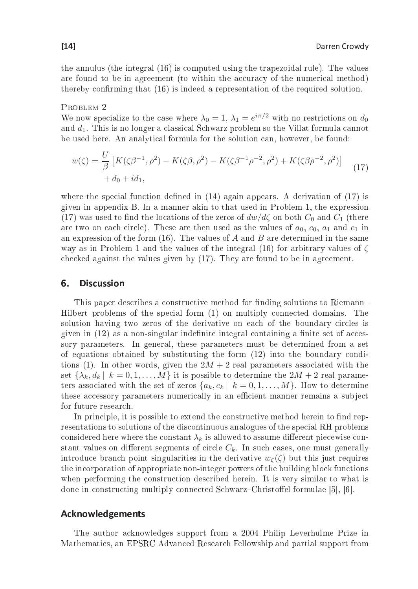the annulus (16) is a computed using the trapezoidal rules of  $\mathbf{r}$  is a contract of  $\mathbf{r}$ are found to be in agreement (to within the accuracy of the numerical method) thereby confirming that (16) is indeed a representation of the required solution.

### PROBLEM 2

We now specialize to the case where  $\lambda_0 = 1$ ,  $\lambda_1 = e^{i\pi/2}$  with no restrictions on  $d_0$ and  $d_1$ . This is no longer a classical Schwarz problem so the Villat formula cannot be used here. An analyti
al formula for the solution an, however, be found:

$$
w(\zeta) = \frac{U}{\beta} \left[ K(\zeta \beta^{-1}, \rho^2) - K(\zeta \beta, \rho^2) - K(\zeta \beta^{-1} \rho^{-2}, \rho^2) + K(\zeta \beta \rho^{-2}, \rho^2) \right] \tag{17}
$$
  
+  $d_0 + id_1$ ,

where the special function defined in  $(14)$  again appears. A derivation of  $(17)$  is given in appendix B. In a manner akin to that used in Problem 1, the expression (17) was used to find the locations of the zeros of  $dw/d\zeta$  on both  $C_0$  and  $C_1$  (there are two on each circle). These are then used as the values of  $a_0, c_0, a_1$  and  $c_1$  in an expression of the form  $(16)$ . The values of A and B are determined in the same way as in Problem 1 and the values of the integral (16) for arbitrary values of  $\zeta$ checked against the values given by (17). They are found to be in agreement.

#### 6. **Discussion**

This paper describes a constructive method for finding solutions to Riemann-Hilbert problems of the spe
ial form (1) on multiply onne
ted domains. The solution having two zeros of the derivative on each of the boundary circles is given in  $(12)$  as a non-singular indefinite integral containing a finite set of accessory parameters. In general, these parameters must be determined from a set of equations obtained by substituting the form (12) into the boundary onditions (1). In other words, given the  $2M + 2$  real parameters associated with the set  $\{\lambda_k, d_k | k = 0, 1, \ldots, M\}$  it is possible to determine the  $2M + 2$  real parameters associated with the set of zeros  $\{a_k, c_k | k = 0, 1, ..., M\}$ . How to determine these accessory parameters numerically in an efficient manner remains a subject for future research.

In principle, it is possible to extend the constructive method herein to find representations to solutions of the discontinuous analogues of the special RH problems considered here where the constant  $\lambda_k$  is allowed to assume different piecewise constant values on different segments of circle  $C_k$ . In such cases, one must generally introduce branch point singularities in the derivative  $w_{\zeta}(\zeta)$  but this just requires the in
orporation of appropriate non-integer powers of the building blo
k fun
tions when performing the construction described herein. It is very similar to what is done in constructing multiply connected Schwarz-Christoffel formulae [5], [6].

### **Acknowledgements**

The author a
knowledges support from a 2004 Philip Leverhulme Prize in Mathemati
s, an EPSRC Advan
ed Resear
h Fellowship and partial support from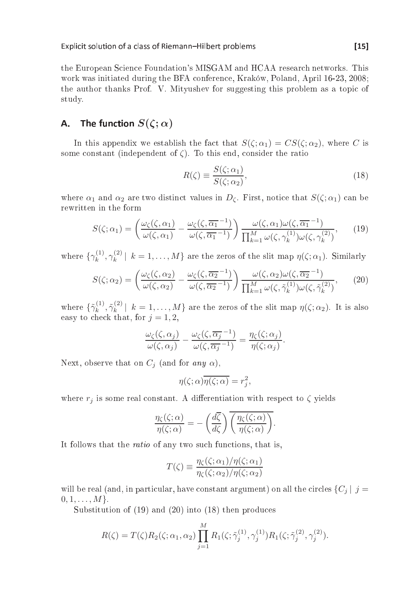the European Science Foundation's MISGAM and HCAA research networks. This work was initiated during the BFA onferen
e, Kraków, Poland, April 16-23, 2008; the author thanks Prof. V. Mityushev for suggesting this problem as a topi of study.

### A. The function  $S(\zeta; \alpha)$

In this appendix we establish the fact that  $S(\zeta;\alpha_1) = CS(\zeta;\alpha_2)$ , where C is some constant (independent of  $\zeta$ ). To this end, consider the ratio

$$
R(\zeta) \equiv \frac{S(\zeta; \alpha_1)}{S(\zeta; \alpha_2)},\tag{18}
$$

where  $\alpha_1$  and  $\alpha_2$  are two distinct values in  $D_{\zeta}$ . First, notice that  $S(\zeta; \alpha_1)$  can be rewritten in the form

$$
S(\zeta;\alpha_1) = \left(\frac{\omega_{\zeta}(\zeta,\alpha_1)}{\omega(\zeta,\alpha_1)} - \frac{\omega_{\zeta}(\zeta,\overline{\alpha_1}^{-1})}{\omega(\zeta,\overline{\alpha_1}^{-1})}\right) \frac{\omega(\zeta,\alpha_1)\omega(\zeta,\overline{\alpha_1}^{-1})}{\prod_{k=1}^M \omega(\zeta,\gamma_k^{(1)})\omega(\zeta,\gamma_k^{(2)})},\qquad(19)
$$

where  $\{\gamma_k^{(1)}\}$  $\mathcal{C}^{(1)}_k, \gamma^{(2)}_k$  $\binom{1}{k}$  |  $k = 1, \ldots, M$ } are the zeros of the slit map  $\eta(\zeta; \alpha_1)$ . Similarly

$$
S(\zeta; \alpha_2) = \left(\frac{\omega_{\zeta}(\zeta, \alpha_2)}{\omega(\zeta, \alpha_2)} - \frac{\omega_{\zeta}(\zeta, \overline{\alpha_2}^{-1})}{\omega(\zeta, \overline{\alpha_2}^{-1})}\right) \frac{\omega(\zeta, \alpha_2)\omega(\zeta, \overline{\alpha_2}^{-1})}{\prod_{k=1}^M \omega(\zeta, \tilde{\gamma}_k^{(1)})\omega(\zeta, \tilde{\gamma}_k^{(2)})},\tag{20}
$$

where  $\{\tilde{\gamma}_k^{(1)}$  $\tilde{\gamma}_k^{(1)}, \tilde{\gamma}_k^{(2)}$  $\left\{ k \atop k \right\}$   $\left[ k = 1, \ldots, M \right\}$  are the zeros of the slit map  $\eta(\zeta; \alpha_2)$ . It is also easy to check that, for  $j = 1, 2$ ,

$$
\frac{\omega_{\zeta}(\zeta,\alpha_j)}{\omega(\zeta,\alpha_j)} - \frac{\omega_{\zeta}(\zeta,\overline{\alpha_j}^{-1})}{\omega(\zeta,\overline{\alpha_j}^{-1})} = \frac{\eta_{\zeta}(\zeta;\alpha_j)}{\eta(\zeta;\alpha_j)}.
$$

Next, observe that on  $C_i$  (and for any  $\alpha$ ),

$$
\eta(\zeta;\alpha)\overline{\eta(\zeta;\alpha)} = r_j^2,
$$

where  $r_i$  is some real constant. A differentiation with respect to  $\zeta$  yields

$$
\frac{\eta_{\zeta}(\zeta;\alpha)}{\eta(\zeta;\alpha)} = -\left(\frac{d\overline{\zeta}}{d\zeta}\right) \overline{\left(\frac{\eta_{\zeta}(\zeta;\alpha)}{\eta(\zeta;\alpha)}\right)}.
$$

It follows that the *ratio* of any two such functions, that is,

$$
T(\zeta) \equiv \frac{\eta_{\zeta}(\zeta; \alpha_1)/\eta(\zeta; \alpha_1)}{\eta_{\zeta}(\zeta; \alpha_2)/\eta(\zeta; \alpha_2)}
$$

will be real (and, in particular, have constant argument) on all the circles  ${C_j | j =$  $0, 1, \ldots, M$ .

Substitution of (19) and (20) into (18) then produ
es

$$
R(\zeta) = T(\zeta) R_2(\zeta; \alpha_1, \alpha_2) \prod_{j=1}^{M} R_1(\zeta; \tilde{\gamma}_j^{(1)}, \gamma_j^{(1)}) R_1(\zeta; \tilde{\gamma}_j^{(2)}, \gamma_j^{(2)}).
$$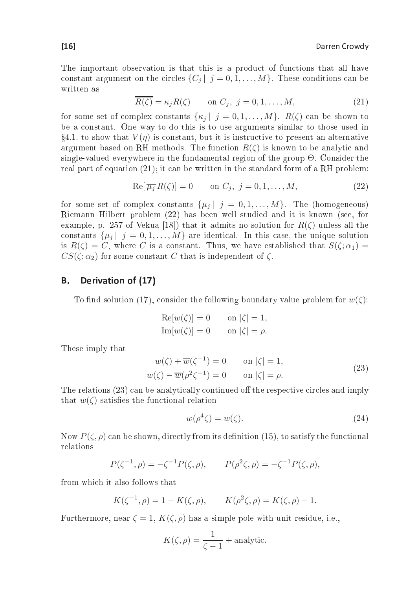The important observation is that this is a produ
t of fun
tions that all have constant argument on the circles  $\{C_i | j = 0, 1, ..., M\}$ . These conditions can be written as

$$
\overline{R(\zeta)} = \kappa_j R(\zeta) \qquad \text{on } C_j, \ j = 0, 1, \dots, M,
$$
\n(21)

for some set of complex constants  $\{\kappa_j | j = 0, 1, ..., M\}$ .  $R(\zeta)$  can be shown to be a onstant. One way to do this is to use arguments similar to those used in  $\S 4.1$  to show that  $V(\eta)$  is constant, but it is instructive to present an alternative argument based on RH methods. The function  $R(\zeta)$  is known to be analytic and single-valued everywhere in the fundamental region of the group Θ. Consider the real part of equation (21); it can be written in the standard form of a RH problem:

$$
\operatorname{Re}[\overline{\mu_j} R(\zeta)] = 0 \qquad \text{on } C_j, \ j = 0, 1, \dots, M,
$$
\n(22)

for some set of complex constants  $\{\mu_j | j = 0, 1, ..., M\}$ . The (homogeneous) Riemann-Hilbert problem (22) has been well studied and it is known (see, for example, p. 257 of Vekua [18]) that it admits no solution for  $R(\zeta)$  unless all the constants  $\{\mu_j | j = 0, 1, ..., M\}$  are identical. In this case, the unique solution is  $R(\zeta) = C$ , where C is a constant. Thus, we have established that  $S(\zeta; \alpha_1) =$  $CS(\zeta;\alpha_2)$  for some constant C that is independent of  $\zeta$ .

#### Derivation of (17) Β.

To find solution (17), consider the following boundary value problem for  $w(\zeta)$ :

$$
Re[w(\zeta)] = 0 \qquad \text{on } |\zeta| = 1,
$$
  
\n
$$
Im[w(\zeta)] = 0 \qquad \text{on } |\zeta| = \rho.
$$

These imply that

$$
w(\zeta) + \overline{w}(\zeta^{-1}) = 0 \qquad \text{on } |\zeta| = 1,
$$
  
\n
$$
w(\zeta) - \overline{w}(\rho^2 \zeta^{-1}) = 0 \qquad \text{on } |\zeta| = \rho.
$$
\n(23)

The relations (23) can be analytically continued off the respective circles and imply that  $w(\zeta)$  satisfies the functional relation

$$
w(\rho^4 \zeta) = w(\zeta). \tag{24}
$$

Now  $P(\zeta, \rho)$  can be shown, directly from its definition (15), to satisfy the functional relations

$$
P(\zeta^{-1}, \rho) = -\zeta^{-1} P(\zeta, \rho), \qquad P(\rho^2 \zeta, \rho) = -\zeta^{-1} P(\zeta, \rho),
$$

from which it also follows that

$$
K(\zeta^{-1}, \rho) = 1 - K(\zeta, \rho), \qquad K(\rho^2 \zeta, \rho) = K(\zeta, \rho) - 1.
$$

Furthermore, near  $\zeta = 1$ ,  $K(\zeta, \rho)$  has a simple pole with unit residue, i.e.,

$$
K(\zeta,\rho) = \frac{1}{\zeta - 1} + \text{analytic}.
$$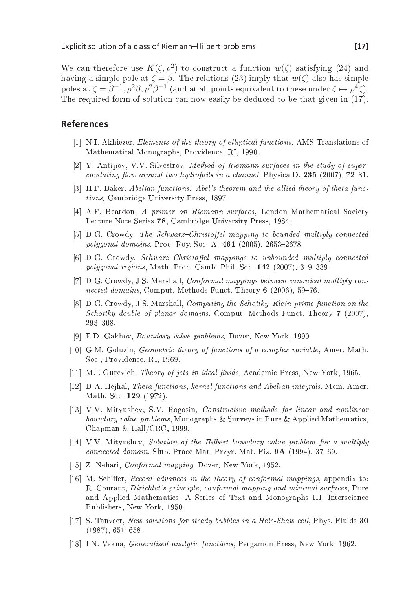We can therefore use  $K(\zeta,\rho^2)$  to construct a function  $w(\zeta)$  satisfying (24) and having a simple pole at  $\zeta = \beta$ . The relations (23) imply that  $w(\zeta)$  also has simple poles at  $\zeta = \beta^{-1}, \rho^2 \beta, \rho^2 \beta^{-1}$  (and at all points equivalent to these under  $\zeta \mapsto \rho^4 \zeta$ ). The required form of solution can now easily be deduced to be that given in (17).

### **References**

- [1] N.I. Akhiezer, Elements of the theory of elliptical functions, AMS Translations of Mathemati
al Monographs, Providen
e, RI, 1990.
- [2] Y. Antipov, V.V. Silvestrov, Method of Riemann surfaces in the study of supercavitating flow around two hydrofoils in a channel, Physica D.  $235$  (2007), 72-81.
- [3] H.F. Baker, Abelian functions: Abel's theorem and the allied theory of theta func*tions.* Cambridge University Press, 1897. tions, Cambridge University Press, 1897.
- [4℄ A.F. Beardon, A primer on Riemann surfa
es, London Mathemati
al So
iety Lecture Note Series 78, Cambridge University Press, 1984.
- [5] D.G. Crowdy, The Schwarz-Christoffel mapping to bounded multiply connected polygonal domains, Proc. Roy. Soc. A. 461 (2005), 2653-2678.
- [6] D.G. Crowdy, Schwarz-Christoffel mappings to unbounded multiply connected  $polygonal$  regions, Math. Proc. Camb. Phil. Soc.  $142$  (2007), 319-339.
- [7] D.G. Crowdy, J.S. Marshall, *Conformal mappings between canonical multiply con*nected domains, Comput. Methods Funct. Theory 6 (2006), 59-76.
- $[8]$  D.G. Crowdy, J.S. Marshall, *Computing the Schottky–Klein prime function on the* Schottky double of planar domains, Comput. Methods Funct. Theory 7 (2007), 293-308.
- [9] F.D. Gakhov, *Boundary value problems*, Dover, New York, 1990.
- [10] G.M. Goluzin, *Geometric theory of functions of a complex variable*, Amer. Math. So
., Providen
e, RI, 1969.
- [11] M.I. Gurevich, *Theory of jets in ideal fluids*, Academic Press, New York, 1965.
- [12] D.A. Hejhal, Theta functions, kernel functions and Abelian integrals, Mem. Amer. Math. Soc. 129 (1972).
- [13] V.V. Mityushev, S.V. Rogosin, *Constructive methods for linear and nonlinear* boundary value problems, Monographs & Surveys in Pure & Applied Mathematics, Chapman & Hall/CRC, 1999.
- [14] V.V. Mityushev, Solution of the Hilbert boundary value problem for a multiply onne
ted domain, Slup. Pra
e Mat. Przyr. Mat. Fiz. 9A (1994), 3769.
- [15] Z. Nehari, *Conformal mapping*, Dover, New York, 1952.
- [16] M. Schiffer, Recent advances in the theory of conformal mappings, appendix to: R. Courant, *Dirichlet's principle, conformal mapping and minimal surfaces*, Pure and Applied Mathematics. A Series of Text and Monographs III, Interscience Publishers, New York, 1950.
- $[17]$  S. Tanveer, New solutions for steady bubbles in a Hele-Shaw cell, Phys. Fluids 30  $(1987), 651-658.$
- [18] I.N. Vekua, *Generalized analytic functions*, Pergamon Press, New York, 1962.